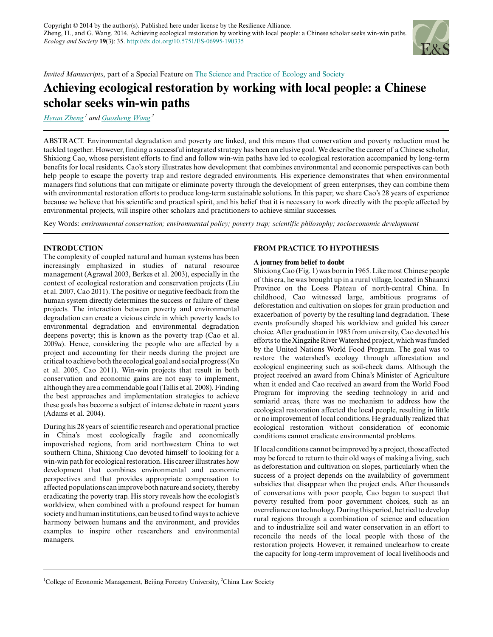

*Invited Manuscripts*, part of a Special Feature on [The Science and Practice of Ecology and Society](http://www.ecologyandsociety.org/viewissue.php?sf=38)

# **Achieving ecological restoration by working with local people: a Chinese scholar seeks win-win paths**

*[Heran Zheng](mailto:zhengheran@foxmail.com)<sup>1</sup> and [Guosheng Wang](mailto:gshwang@126.com)<sup>2</sup>*

ABSTRACT. Environmental degradation and poverty are linked, and this means that conservation and poverty reduction must be tackled together. However, finding a successful integrated strategy has been an elusive goal. We describe the career of a Chinese scholar, Shixiong Cao, whose persistent efforts to find and follow win-win paths have led to ecological restoration accompanied by long-term benefits for local residents. Cao's story illustrates how development that combines environmental and economic perspectives can both help people to escape the poverty trap and restore degraded environments. His experience demonstrates that when environmental managers find solutions that can mitigate or eliminate poverty through the development of green enterprises, they can combine them with environmental restoration efforts to produce long-term sustainable solutions. In this paper, we share Cao's 28 years of experience because we believe that his scientific and practical spirit, and his belief that it is necessary to work directly with the people affected by environmental projects, will inspire other scholars and practitioners to achieve similar successes.

Key Words: *environmental conservation; environmental policy; poverty trap; scientific philosophy; socioeconomic development*

# **INTRODUCTION**

The complexity of coupled natural and human systems has been increasingly emphasized in studies of natural resource management (Agrawal 2003, Berkes et al. 2003), especially in the context of ecological restoration and conservation projects (Liu et al. 2007, Cao 2011). The positive or negative feedback from the human system directly determines the success or failure of these projects. The interaction between poverty and environmental degradation can create a vicious circle in which poverty leads to environmental degradation and environmental degradation deepens poverty; this is known as the poverty trap (Cao et al. 2009*a*). Hence, considering the people who are affected by a project and accounting for their needs during the project are critical to achieve both the ecological goal and social progress (Xu et al. 2005, Cao 2011). Win-win projects that result in both conservation and economic gains are not easy to implement, although they are a commendable goal (Tallis et al. 2008). Finding the best approaches and implementation strategies to achieve these goals has become a subject of intense debate in recent years (Adams et al. 2004).

During his 28 years of scientific research and operational practice in China's most ecologically fragile and economically impoverished regions, from arid northwestern China to wet southern China, Shixiong Cao devoted himself to looking for a win-win path for ecological restoration. His career illustrates how development that combines environmental and economic perspectives and that provides appropriate compensation to affected populations can improve both nature and society, thereby eradicating the poverty trap. His story reveals how the ecologist's worldview, when combined with a profound respect for human society and human institutions, can be used to find ways to achieve harmony between humans and the environment, and provides examples to inspire other researchers and environmental managers.

#### **FROM PRACTICE TO HYPOTHESIS**

#### **A journey from belief to doubt**

Shixiong Cao (Fig. 1) was born in 1965. Like most Chinese people of this era, he was brought up in a rural village, located in Shaanxi Province on the Loess Plateau of north-central China. In childhood, Cao witnessed large, ambitious programs of deforestation and cultivation on slopes for grain production and exacerbation of poverty by the resulting land degradation. These events profoundly shaped his worldview and guided his career choice. After graduation in 1985 from university, Cao devoted his efforts to the Xingzihe River Watershed project, which was funded by the United Nations World Food Program. The goal was to restore the watershed's ecology through afforestation and ecological engineering such as soil-check dams. Although the project received an award from China's Minister of Agriculture when it ended and Cao received an award from the World Food Program for improving the seeding technology in arid and semiarid areas, there was no mechanism to address how the ecological restoration affected the local people, resulting in little or no improvement of local conditions. He gradually realized that ecological restoration without consideration of economic conditions cannot eradicate environmental problems.

If local conditions cannot be improved by a project, those affected may be forced to return to their old ways of making a living, such as deforestation and cultivation on slopes, particularly when the success of a project depends on the availability of government subsidies that disappear when the project ends. After thousands of conversations with poor people, Cao began to suspect that poverty resulted from poor government choices, such as an overreliance on technology. During this period, he tried to develop rural regions through a combination of science and education and to industrialize soil and water conservation in an effort to reconcile the needs of the local people with those of the restoration projects. However, it remained unclearhow to create the capacity for long-term improvement of local livelihoods and

<sup>&</sup>lt;sup>1</sup>College of Economic Management, Beijing Forestry University,  ${}^{2}$ China Law Society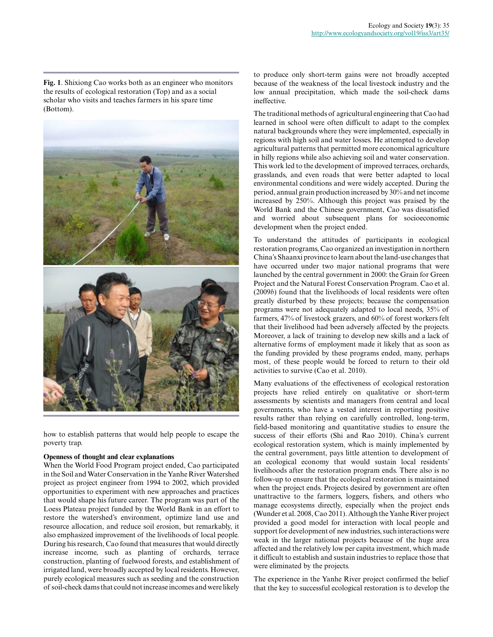**Fig. 1**. Shixiong Cao works both as an engineer who monitors the results of ecological restoration (Top) and as a social scholar who visits and teaches farmers in his spare time (Bottom).



how to establish patterns that would help people to escape the poverty trap.

# **Openness of thought and clear explanations**

When the World Food Program project ended, Cao participated in the Soil and Water Conservation in the Yanhe River Watershed project as project engineer from 1994 to 2002, which provided opportunities to experiment with new approaches and practices that would shape his future career. The program was part of the Loess Plateau project funded by the World Bank in an effort to restore the watershed's environment, optimize land use and resource allocation, and reduce soil erosion, but remarkably, it also emphasized improvement of the livelihoods of local people. During his research, Cao found that measures that would directly increase income, such as planting of orchards, terrace construction, planting of fuelwood forests, and establishment of irrigated land, were broadly accepted by local residents. However, purely ecological measures such as seeding and the construction of soil-check dams that could not increase incomes and were likely

to produce only short-term gains were not broadly accepted because of the weakness of the local livestock industry and the low annual precipitation, which made the soil-check dams ineffective.

The traditional methods of agricultural engineering that Cao had learned in school were often difficult to adapt to the complex natural backgrounds where they were implemented, especially in regions with high soil and water losses. He attempted to develop agricultural patterns that permitted more economical agriculture in hilly regions while also achieving soil and water conservation. This work led to the development of improved terraces, orchards, grasslands, and even roads that were better adapted to local environmental conditions and were widely accepted. During the period, annual grain production increased by 30% and net income increased by 250%. Although this project was praised by the World Bank and the Chinese government, Cao was dissatisfied and worried about subsequent plans for socioeconomic development when the project ended.

To understand the attitudes of participants in ecological restoration programs, Cao organized an investigation in northern China's Shaanxi province to learn about the land-use changes that have occurred under two major national programs that were launched by the central government in 2000: the Grain for Green Project and the Natural Forest Conservation Program. Cao et al. (2009*b*) found that the livelihoods of local residents were often greatly disturbed by these projects; because the compensation programs were not adequately adapted to local needs, 35% of farmers, 47% of livestock grazers, and 60% of forest workers felt that their livelihood had been adversely affected by the projects. Moreover, a lack of training to develop new skills and a lack of alternative forms of employment made it likely that as soon as the funding provided by these programs ended, many, perhaps most, of these people would be forced to return to their old activities to survive (Cao et al. 2010).

Many evaluations of the effectiveness of ecological restoration projects have relied entirely on qualitative or short-term assessments by scientists and managers from central and local governments, who have a vested interest in reporting positive results rather than relying on carefully controlled, long-term, field-based monitoring and quantitative studies to ensure the success of their efforts (Shi and Rao 2010). China's current ecological restoration system, which is mainly implemented by the central government, pays little attention to development of an ecological economy that would sustain local residents' livelihoods after the restoration program ends. There also is no follow-up to ensure that the ecological restoration is maintained when the project ends. Projects desired by government are often unattractive to the farmers, loggers, fishers, and others who manage ecosystems directly, especially when the project ends (Wunder et al. 2008, Cao 2011). Although the Yanhe River project provided a good model for interaction with local people and support for development of new industries, such interactions were weak in the larger national projects because of the huge area affected and the relatively low per capita investment, which made it difficult to establish and sustain industries to replace those that were eliminated by the projects.

The experience in the Yanhe River project confirmed the belief that the key to successful ecological restoration is to develop the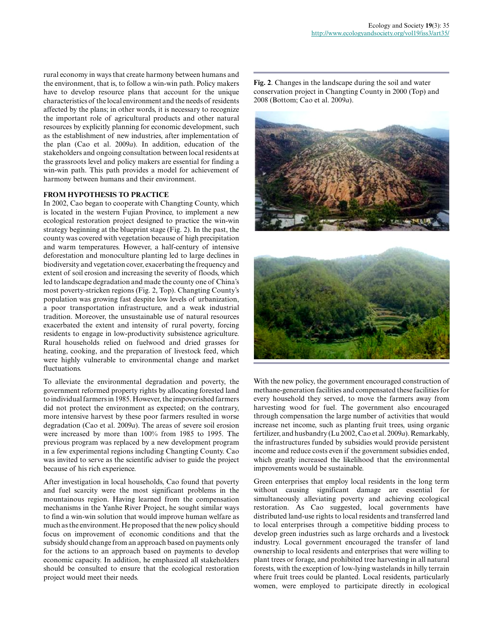rural economy in ways that create harmony between humans and the environment, that is, to follow a win-win path. Policy makers have to develop resource plans that account for the unique characteristics of the local environment and the needs of residents affected by the plans; in other words, it is necessary to recognize the important role of agricultural products and other natural resources by explicitly planning for economic development, such as the establishment of new industries, after implementation of the plan (Cao et al. 2009*a*). In addition, education of the stakeholders and ongoing consultation between local residents at the grassroots level and policy makers are essential for finding a win-win path. This path provides a model for achievement of harmony between humans and their environment.

#### **FROM HYPOTHESIS TO PRACTICE**

In 2002, Cao began to cooperate with Changting County, which is located in the western Fujian Province, to implement a new ecological restoration project designed to practice the win-win strategy beginning at the blueprint stage (Fig. 2). In the past, the county was covered with vegetation because of high precipitation and warm temperatures. However, a half-century of intensive deforestation and monoculture planting led to large declines in biodiversity and vegetation cover, exacerbating the frequency and extent of soil erosion and increasing the severity of floods, which led to landscape degradation and made the county one of China's most poverty-stricken regions (Fig. 2, Top). Changting County's population was growing fast despite low levels of urbanization, a poor transportation infrastructure, and a weak industrial tradition. Moreover, the unsustainable use of natural resources exacerbated the extent and intensity of rural poverty, forcing residents to engage in low-productivity subsistence agriculture. Rural households relied on fuelwood and dried grasses for heating, cooking, and the preparation of livestock feed, which were highly vulnerable to environmental change and market fluctuations.

To alleviate the environmental degradation and poverty, the government reformed property rights by allocating forested land to individual farmers in 1985. However, the impoverished farmers did not protect the environment as expected; on the contrary, more intensive harvest by these poor farmers resulted in worse degradation (Cao et al. 2009*a*). The areas of severe soil erosion were increased by more than 100% from 1985 to 1995. The previous program was replaced by a new development program in a few experimental regions including Changting County. Cao was invited to serve as the scientific adviser to guide the project because of his rich experience.

After investigation in local households, Cao found that poverty and fuel scarcity were the most significant problems in the mountainous region. Having learned from the compensation mechanisms in the Yanhe River Project, he sought similar ways to find a win-win solution that would improve human welfare as much as the environment. He proposed that the new policy should focus on improvement of economic conditions and that the subsidy should change from an approach based on payments only for the actions to an approach based on payments to develop economic capacity. In addition, he emphasized all stakeholders should be consulted to ensure that the ecological restoration project would meet their needs.

**Fig. 2**. Changes in the landscape during the soil and water conservation project in Changting County in 2000 (Top) and 2008 (Bottom; Cao et al. 2009*a*).





With the new policy, the government encouraged construction of methane-generation facilities and compensated these facilities for every household they served, to move the farmers away from harvesting wood for fuel. The government also encouraged through compensation the large number of activities that would increase net income, such as planting fruit trees, using organic fertilizer, and husbandry (Lu 2002, Cao et al. 2009*a*). Remarkably, the infrastructures funded by subsidies would provide persistent income and reduce costs even if the government subsidies ended, which greatly increased the likelihood that the environmental improvements would be sustainable.

Green enterprises that employ local residents in the long term without causing significant damage are essential for simultaneously alleviating poverty and achieving ecological restoration. As Cao suggested, local governments have distributed land-use rights to local residents and transferred land to local enterprises through a competitive bidding process to develop green industries such as large orchards and a livestock industry. Local government encouraged the transfer of land ownership to local residents and enterprises that were willing to plant trees or forage, and prohibited tree harvesting in all natural forests, with the exception of low-lying wastelands in hilly terrain where fruit trees could be planted. Local residents, particularly women, were employed to participate directly in ecological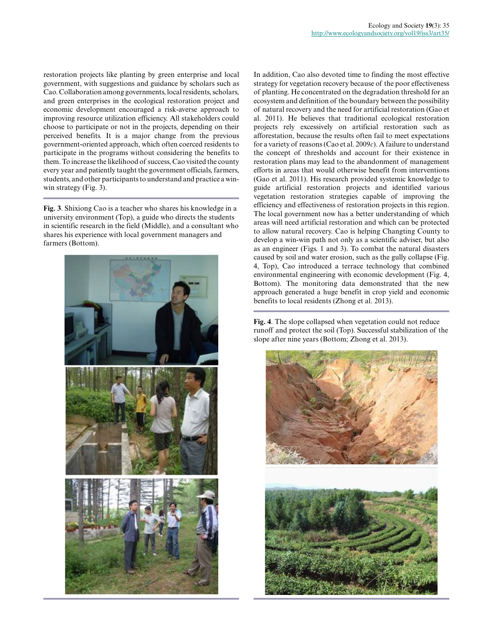restoration projects like planting by green enterprise and local government, with suggestions and guidance by scholars such as Cao. Collaboration among governments, local residents, scholars, and green enterprises in the ecological restoration project and economic development encouraged a risk-averse approach to improving resource utilization efficiency. All stakeholders could choose to participate or not in the projects, depending on their perceived benefits. It is a major change from the previous government-oriented approach, which often coerced residents to participate in the programs without considering the benefits to them. To increase the likelihood of success, Cao visited the county every year and patiently taught the government officials, farmers, students, and other participants to understand and practice a winwin strategy (Fig. 3).

**Fig. 3**. Shixiong Cao is a teacher who shares his knowledge in a university environment (Top), a guide who directs the students in scientific research in the field (Middle), and a consultant who shares his experience with local government managers and farmers (Bottom).



In addition, Cao also devoted time to finding the most effective strategy for vegetation recovery because of the poor effectiveness of planting. He concentrated on the degradation threshold for an ecosystem and definition of the boundary between the possibility of natural recovery and the need for artificial restoration (Gao et al. 2011). He believes that traditional ecological restoration projects rely excessively on artificial restoration such as afforestation, because the results often fail to meet expectations for a variety of reasons (Cao et al. 2009*c*). A failure to understand the concept of thresholds and account for their existence in restoration plans may lead to the abandonment of management efforts in areas that would otherwise benefit from interventions (Gao et al. 2011). His research provided systemic knowledge to guide artificial restoration projects and identified various vegetation restoration strategies capable of improving the efficiency and effectiveness of restoration projects in this region. The local government now has a better understanding of which areas will need artificial restoration and which can be protected to allow natural recovery. Cao is helping Changting County to develop a win-win path not only as a scientific adviser, but also as an engineer (Figs. 1 and 3). To combat the natural disasters caused by soil and water erosion, such as the gully collapse (Fig. 4, Top), Cao introduced a terrace technology that combined environmental engineering with economic development (Fig. 4, Bottom). The monitoring data demonstrated that the new approach generated a huge benefit in crop yield and economic benefits to local residents (Zhong et al. 2013).

**Fig. 4**. The slope collapsed when vegetation could not reduce runoff and protect the soil (Top). Successful stabilization of the slope after nine years (Bottom; Zhong et al. 2013).

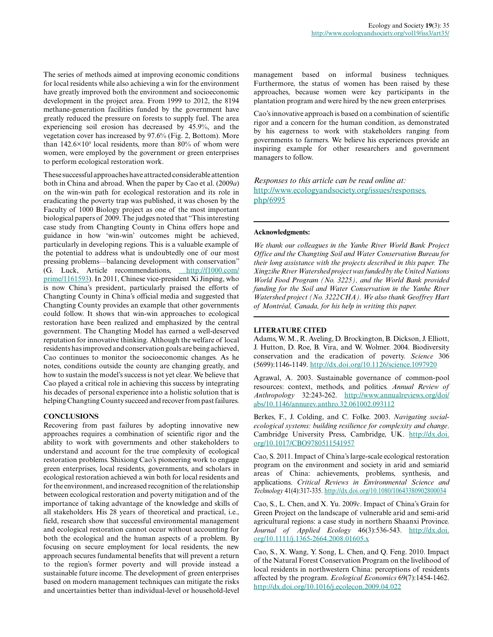The series of methods aimed at improving economic conditions for local residents while also achieving a win for the environment have greatly improved both the environment and socioeconomic development in the project area. From 1999 to 2012, the 8194 methane-generation facilities funded by the government have greatly reduced the pressure on forests to supply fuel. The area experiencing soil erosion has decreased by 45.9%, and the vegetation cover has increased by 97.6% (Fig. 2, Bottom). More than  $142.6\times10<sup>3</sup>$  local residents, more than 80% of whom were women, were employed by the government or green enterprises to perform ecological restoration work.

These successful approaches have attracted considerable attention both in China and abroad. When the paper by Cao et al. (2009*a*) on the win-win path for ecological restoration and its role in eradicating the poverty trap was published, it was chosen by the Faculty of 1000 Biology project as one of the most important biological papers of 2009. The judges noted that "This interesting case study from Changting County in China offers hope and guidance in how 'win-win' outcomes might be achieved, particularly in developing regions. This is a valuable example of the potential to address what is undoubtedly one of our most pressing problems—balancing development with conservation" (G. Luck, Article recommendations, [http://f1000.com/](http://f1000.com/prime/1161593) [prime/1161593](http://f1000.com/prime/1161593)). In 2011, Chinese vice-president Xi Jinping, who is now China's president, particularly praised the efforts of Changting County in China's official media and suggested that Changting County provides an example that other governments could follow. It shows that win-win approaches to ecological restoration have been realized and emphasized by the central government. The Changting Model has earned a well-deserved reputation for innovative thinking. Although the welfare of local residents has improved and conservation goals are being achieved, Cao continues to monitor the socioeconomic changes. As he notes, conditions outside the county are changing greatly, and how to sustain the model's success is not yet clear. We believe that Cao played a critical role in achieving this success by integrating his decades of personal experience into a holistic solution that is helping Changting County succeed and recover from past failures.

# **CONCLUSIONS**

Recovering from past failures by adopting innovative new approaches requires a combination of scientific rigor and the ability to work with governments and other stakeholders to understand and account for the true complexity of ecological restoration problems. Shixiong Cao's pioneering work to engage green enterprises, local residents, governments, and scholars in ecological restoration achieved a win both for local residents and for the environment, and increased recognition of the relationship between ecological restoration and poverty mitigation and of the importance of taking advantage of the knowledge and skills of all stakeholders. His 28 years of theoretical and practical, i.e., field, research show that successful environmental management and ecological restoration cannot occur without accounting for both the ecological and the human aspects of a problem. By focusing on secure employment for local residents, the new approach secures fundamental benefits that will prevent a return to the region's former poverty and will provide instead a sustainable future income. The development of green enterprises based on modern management techniques can mitigate the risks and uncertainties better than individual-level or household-level

management based on informal business techniques. Furthermore, the status of women has been raised by these approaches, because women were key participants in the plantation program and were hired by the new green enterprises.

Cao's innovative approach is based on a combination of scientific rigor and a concern for the human condition, as demonstrated by his eagerness to work with stakeholders ranging from governments to farmers. We believe his experiences provide an inspiring example for other researchers and government managers to follow.

# *Responses to this article can be read online at:* [http://www.ecologyandsociety.org/issues/responses.](http://www.ecologyandsociety.org/issues/responses.php/6995) [php/6995](http://www.ecologyandsociety.org/issues/responses.php/6995)

#### **Acknowledgments:**

*We thank our colleagues in the Yanhe River World Bank Project Office and the Changting Soil and Water Conservation Bureau for their long assistance with the projects described in this paper. The Xingzihe River Watershed project was funded by the United Nations World Food Program (No. 3225), and the World Bank provided funding for the Soil and Water Conservation in the Yanhe River Watershed project (No. 3222CHA). We also thank Geoffrey Hart of Montréal, Canada, for his help in writing this paper.*

#### **LITERATURE CITED**

Adams, W. M., R. Aveling, D. Brockington, B. Dickson, J. Elliott, J. Hutton, D. Roe, B. Vira, and W. Wolmer. 2004. Biodiversity conservation and the eradication of poverty. *Science* 306 (5699):1146-1149.<http://dx.doi.org/10.1126/science.1097920>

Agrawal, A. 2003. Sustainable governance of common-pool resources: context, methods, and politics. *Annual Review of Anthropology* 32:243-262. [http://www.annualreviews.org/doi/](http://www.annualreviews.org/doi/abs/10.1146/annurev.anthro.32.061002.093112) [abs/10.1146/annurev.anthro.32.061002.093112](http://www.annualreviews.org/doi/abs/10.1146/annurev.anthro.32.061002.093112) 

Berkes, F., J. Colding, and C. Folke. 2003. *Navigating socialecological systems: building resilience for complexity and change*. Cambridge University Press, Cambridge, UK. [http://dx.doi.](http://dx.doi.org/10.1017%2FCBO9780511541957) [org/10.1017/CBO9780511541957](http://dx.doi.org/10.1017%2FCBO9780511541957)

Cao, S. 2011. Impact of China's large-scale ecological restoration program on the environment and society in arid and semiarid areas of China: achievements, problems, synthesis, and applications. *Critical Reviews in Environmental Science and Technology* 41(4):317-335. <http://dx.doi.org/10.1080/10643380902800034>

Cao, S., L. Chen, and X. Yu. 2009*c*. Impact of China's Grain for Green Project on the landscape of vulnerable arid and semi-arid agricultural regions: a case study in northern Shaanxi Province. *Journal of Applied Ecology* 46(3):536-543. [http://dx.doi.](http://dx.doi.org/10.1111/j.1365-2664.2008.01605.x) [org/10.1111/j.1365-2664.2008.01605.x](http://dx.doi.org/10.1111/j.1365-2664.2008.01605.x)

Cao, S., X. Wang, Y. Song, L. Chen, and Q. Feng. 2010. Impact of the Natural Forest Conservation Program on the livelihood of local residents in northwestern China: perceptions of residents affected by the program. *Ecological Economics* 69(7):1454-1462. <http://dx.doi.org/10.1016/j.ecolecon.2009.04.022>